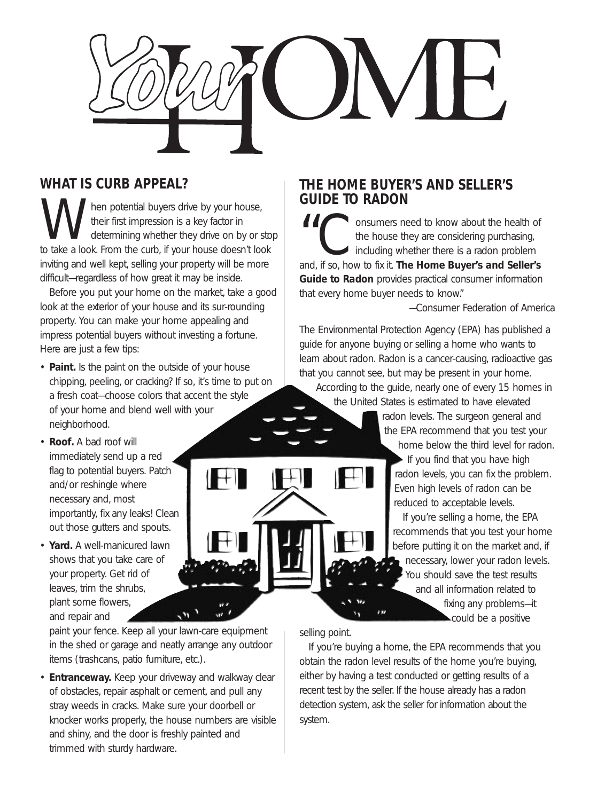

### **WHAT IS CURB APPEAL?**

W hen potential buyers drive by your house,<br>their first impression is a key factor in<br>to take a look. From the curb, if your house doesn't loc their first impression is a key factor in determining whether they drive on by or stop to take a look. From the curb, if your house doesn't look inviting and well kept, selling your property will be more difficult—regardless of how great it may be inside.

Before you put your home on the market, take a good look at the exterior of your house and its sur-rounding property. You can make your home appealing and impress potential buyers without investing a fortune. Here are just a few tips:

- **Paint.** Is the paint on the outside of your house chipping, peeling, or cracking? If so, it's time to put on a fresh coat—choose colors that accent the style of your home and blend well with your neighborhood.
- **Roof.** A bad roof will immediately send up a red flag to potential buyers. Patch and/or reshingle where necessary and, most importantly, fix any leaks! Clean out those gutters and spouts.
- **Yard.** A well-manicured lawn shows that you take care of your property. Get rid of leaves, trim the shrubs, plant some flowers, and repair and

paint your fence. Keep all your lawn-care equipment in the shed or garage and neatly arrange any outdoor items (trashcans, patio furniture, etc.).

 $\sim$ 

• **Entranceway.** Keep your driveway and walkway clear of obstacles, repair asphalt or cement, and pull any stray weeds in cracks. Make sure your doorbell or knocker works properly, the house numbers are visible and shiny, and the door is freshly painted and trimmed with sturdy hardware.

#### **THE HOME BUYER'S AND SELLER'S GUIDE TO RADON**

II Consumers need to know about the health of<br>the house they are considering purchasing,<br>including whether there is a radon problem<br>and if so, how to fix it. The Home Buver's and Seller's the house they are considering purchasing, including whether there is a radon problem and, if so, how to fix it. *The Home Buyer's and Seller's Guide to Radon* provides practical consumer information that every home buyer needs to know."

*—Consumer Federation of America*

The Environmental Protection Agency (EPA) has published a guide for anyone buying or selling a home who wants to learn about radon. Radon is a cancer-causing, radioactive gas that you cannot see, but may be present in your home.

According to the guide, nearly one of every 15 homes in the United States is estimated to have elevated

> radon levels. The surgeon general and the EPA recommend that you test your home below the third level for radon.

If you find that you have high radon levels, you can fix the problem. Even high levels of radon can be reduced to acceptable levels.

If you're selling a home, the EPA recommends that you test your home before putting it on the market and, if necessary, lower your radon levels. You should save the test results and all information related to fixing any problems—it could be a positive

selling point.

If you're buying a home, the EPA recommends that you obtain the radon level results of the home you're buying, either by having a test conducted or getting results of a recent test by the seller. If the house already has a radon detection system, ask the seller for information about the system.